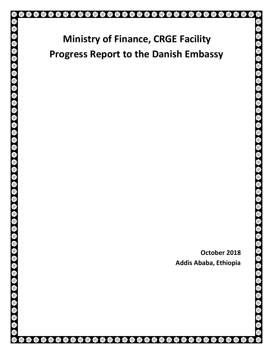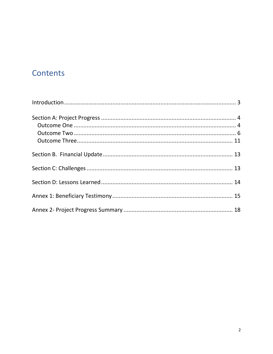# Contents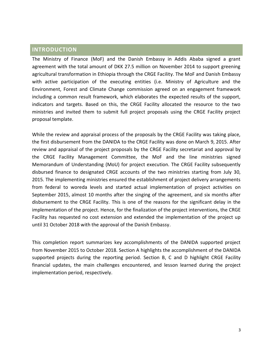### <span id="page-2-0"></span>**INTRODUCTION**

The Ministry of Finance (MoF) and the Danish Embassy in Addis Ababa signed a grant agreement with the total amount of DKK 27.5 million on November 2014 to support greening agricultural transformation in Ethiopia through the CRGE Facility. The MoF and Danish Embassy with active participation of the executing entities (i.e. Ministry of Agriculture and the Environment, Forest and Climate Change commission agreed on an engagement framework including a common result framework, which elaborates the expected results of the support, indicators and targets. Based on this, the CRGE Facility allocated the resource to the two ministries and invited them to submit full project proposals using the CRGE Facility project proposal template.

While the review and appraisal process of the proposals by the CRGE Facility was taking place, the first disbursement from the DANIDA to the CRGE Facility was done on March 9, 2015. After review and appraisal of the project proposals by the CRGE Facility secretariat and approval by the CRGE Facility Management Committee, the MoF and the line ministries signed Memorandum of Understanding (MoU) for project execution. The CRGE Facility subsequently disbursed finance to designated CRGE accounts of the two ministries starting from July 30, 2015. The implementing ministries ensured the establishment of project delivery arrangements from federal to woreda levels and started actual implementation of project activities on September 2015, almost 10 months after the singing of the agreement, and six months after disbursement to the CRGE Facility. This is one of the reasons for the significant delay in the implementation of the project. Hence, for the finalization of the project interventions, the CRGE Facility has requested no cost extension and extended the implementation of the project up until 31 October 2018 with the approval of the Danish Embassy.

This completion report summarizes key accomplishments of the DANIDA supported project from November 2015 to October 2018. Section A highlights the accomplishment of the DANIDA supported projects during the reporting period. Section B, C and D highlight CRGE Facility financial updates, the main challenges encountered, and lesson learned during the project implementation period, respectively.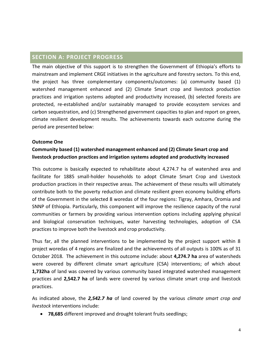# <span id="page-3-0"></span>**SECTION A: PROJECT PROGRESS**

The main objective of this support is to strengthen the Government of Ethiopia's efforts to mainstream and implement CRGE initiatives in the agriculture and forestry sectors. To this end, the project has three complementary components/outcomes: (a) community based (1) watershed management enhanced and (2) Climate Smart crop and livestock production practices and irrigation systems adopted and productivity increased, (b) selected forests are protected, re-established and/or sustainably managed to provide ecosystem services and carbon sequestration, and (c) Strengthened government capacities to plan and report on green, climate resilient development results. The achievements towards each outcome during the period are presented below:

#### <span id="page-3-1"></span>**Outcome One**

# **Community based (1) watershed management enhanced and (2) Climate Smart crop and livestock production practices and irrigation systems adopted and productivity increased**

This outcome is basically expected to rehabilitate about 4,274.7 ha of watershed area and facilitate for 1885 small-holder households to adopt Climate Smart Crop and Livestock production practices in their respective areas. The achievement of these results will ultimately contribute both to the poverty reduction and climate resilient green economy building efforts of the Government in the selected 8 woredas of the four regions: Tigray, Amhara, Oromia and SNNP of Ethiopia. Particularly, this component will improve the resilience capacity of the rural communities or farmers by providing various intervention options including applying physical and biological conservation techniques, water harvesting technologies, adoption of CSA practices to improve both the livestock and crop productivity.

Thus far, all the planned interventions to be implemented by the project support within 8 project woredas of 4 regions are finalized and the achievements of all outputs is 100% as of 31 October 2018. The achievement in this outcome include: about **4,274.7 ha** area of watersheds were covered by different climate smart agriculture (CSA) interventions; of which about **1,732ha** of land was covered by various community based integrated watershed management practices and **2,542.7 ha** of lands were covered by various climate smart crop and livestock practices.

As indicated above, the *2,542.7 ha* of land covered by the various *climate smart crop and livestock* interventions include:

• **78,685** different improved and drought tolerant fruits seedlings;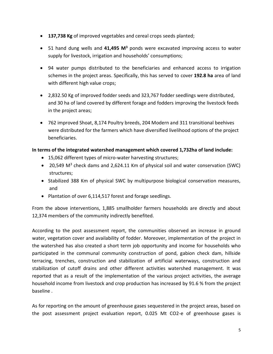- **137,738 Kg** of improved vegetables and cereal crops seeds planted;
- 51 hand dung wells and **41,495 M<sup>3</sup>** ponds were excavated improving access to water supply for livestock, irrigation and households' consumptions;
- 94 water pumps distributed to the beneficiaries and enhanced access to irrigation schemes in the project areas. Specifically, this has served to cover **192.8 ha** area of land with different high value crops;
- 2,832.50 Kg of improved fodder seeds and 323,767 fodder seedlings were distributed, and 30 ha of land covered by different forage and fodders improving the livestock feeds in the project areas;
- 762 improved Shoat, 8,174 Poultry breeds, 204 Modern and 311 transitional beehives were distributed for the farmers which have diversified livelihood options of the project beneficiaries.

### **In terms of the integrated watershed management which covered 1,732ha of land include:**

- 15,062 different types of micro-water harvesting structures;
- 20,549  $M^3$  check dams and 2,624.11 Km of physical soil and water conservation (SWC) structures;
- Stabilized 388 Km of physical SWC by multipurpose biological conservation measures, and
- Plantation of over 6,114,517 forest and forage seedlings.

From the above interventions, 1,885 smallholder farmers households are directly and about 12,374 members of the community indirectly benefited.

According to the post assessment report, the communities observed an increase in ground water, vegetation cover and availability of fodder. Moreover, implementation of the project in the watershed has also created a short term job opportunity and income for households who participated in the communal community construction of pond, gabion check dam, hillside terracing, trenches, construction and stabilization of artificial waterways, construction and stabilization of cutoff drains and other different activities watershed management. It was reported that as a result of the implementation of the various project activities, the average household income from livestock and crop production has increased by 91.6 % from the project baseline .

As for reporting on the amount of greenhouse gases sequestered in the project areas, based on the post assessment project evaluation report, 0.025 Mt CO2-e of greenhouse gases is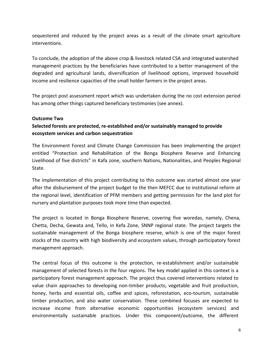sequestered and reduced by the project areas as a result of the climate smart agriculture interventions.

To conclude, the adoption of the above crop & livestock related CSA and integrated watershed management practices by the beneficiaries have contributed to a better management of the degraded and agricultural lands, diversification of livelihood options, improved household income and resilience capacities of the small holder farmers in the project areas.

The project post assessment report which was undertaken during the no cost extension period has among other things captured beneficiary testimonies (see annex).

#### <span id="page-5-0"></span>**Outcome Two**

### **Selected forests are protected, re-established and/or sustainably managed to provide ecosystem services and carbon sequestration**

The Environment Forest and Climate Change Commission has been implementing the project entitled "Protection and Rehabilitation of the Bonga Biosphere Reserve and Enhancing Livelihood of five districts" in Kafa zone, southern Nations, Nationalities, and Peoples Regional State.

The implementation of this project contributing to this outcome was started almost one year after the disbursement of the project budget to the then MEFCC due to institutional reform at the regional level, identification of PFM members and getting permission for the land plot for nursery and plantation purposes took more time than expected.

The project is located in Bonga Biosphere Reserve, covering five woredas, namely, Chena, Chetta, Decha, Gewata and, Tello, in Kefa Zone, SNNP regional state. The project targets the sustainable management of the Bonga biosphere reserve, which is one of the major forest stocks of the country with high biodiversity and ecosystem values, through participatory forest management approach.

The central focus of this outcome is the protection, re-establishment and/or sustainable management of selected forests in the four regions. The key model applied in this context is a participatory forest management approach. The project thus covered interventions related to value chain approaches to developing non-timber products; vegetable and fruit production, honey, herbs and essential oils, coffee and spices, reforestation, eco-tourism, sustainable timber production, and also water conservation. These combined focuses are expected to increase income from alternative economic opportunities (ecosystem services) and environmentally sustainable practices. Under this component/outcome, the different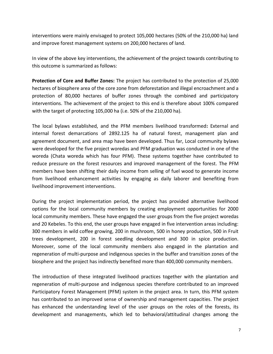interventions were mainly envisaged to protect 105,000 hectares (50% of the 210,000 ha) land and improve forest management systems on 200,000 hectares of land.

In view of the above key interventions, the achievement of the project towards contributing to this outcome is summarized as follows:

**Protection of Core and Buffer Zones:** The project has contributed to the protection of 25,000 hectares of biosphere area of the core zone from deforestation and illegal encroachment and a protection of 80,000 hectares of buffer zones through the combined and participatory interventions. The achievement of the project to this end is therefore about 100% compared with the target of protecting 105,000 ha (i.e. 50% of the 210,000 ha).

The local bylaws established, and the PFM members livelihood transformed**:** External and internal forest demarcations of 2892.125 ha of natural forest, management plan and agreement document, and area map have been developed. Thus far, Local community bylaws were developed for the five project woredas and PFM graduation was conducted in one of the woreda (Chata woreda which has four PFM). These systems together have contributed to reduce pressure on the forest resources and improved management of the forest. The PFM members have been shifting their daily income from selling of fuel wood to generate income from livelihood enhancement activities by engaging as daily laborer and benefiting from livelihood improvement interventions.

During the project implementation period, the project has provided alternative livelihood options for the local community members by creating employment opportunities for 2000 local community members. These have engaged the user groups from the five project woredas and 20 Kebeles. To this end, the user groups have engaged in five intervention areas including: 300 members in wild coffee growing, 200 in mushroom, 500 in honey production, 500 in Fruit trees development, 200 in forest seedling development and 300 in spice production. Moreover, some of the local community members also engaged in the plantation and regeneration of multi-purpose and indigenous species in the buffer and transition zones of the biosphere and the project has indirectly benefited more than 400,000 community members.

The introduction of these integrated livelihood practices together with the plantation and regeneration of multi-purpose and indigenous species therefore contributed to an improved Participatory Forest Management (PFM) system in the project area. In turn, this PFM system has contributed to an improved sense of ownership and management capacities. The project has enhanced the understanding level of the user groups on the roles of the forests, its development and managements, which led to behavioral/attitudinal changes among the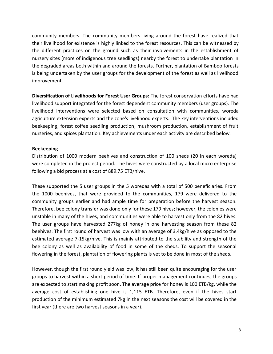community members. The community members living around the forest have realized that their livelihood for existence is highly linked to the forest resources. This can be witnessed by the different practices on the ground such as their involvements in the establishment of nursery sites (more of indigenous tree seedlings) nearby the forest to undertake plantation in the degraded areas both within and around the forests. Further, plantation of Bamboo forests is being undertaken by the user groups for the development of the forest as well as livelihood improvement.

**Diversification of Livelihoods for Forest User Groups:** The forest conservation efforts have had livelihood support integrated for the forest dependent community members (user groups). The livelihood interventions were selected based on consultation with communities, woreda agriculture extension experts and the zone's livelihood experts. The key interventions included beekeeping, forest coffee seedling production, mushroom production, establishment of fruit nurseries, and spices plantation. Key achievements under each activity are described below.

#### **Beekeeping**

Distribution of 1000 modern beehives and construction of 100 sheds (20 in each woreda) were completed in the project period. The hives were constructed by a local micro enterprise following a bid process at a cost of 889.75 ETB/hive.

These supported the 5 user groups in the 5 woredas with a total of 500 beneficiaries. From the 1000 beehives, that were provided to the communities, 179 were delivered to the community groups earlier and had ample time for preparation before the harvest season. Therefore, bee colony transfer was done only for these 179 hives; however, the colonies were unstable in many of the hives, and communities were able to harvest only from the 82 hives. The user groups have harvested 277kg of honey in one harvesting season from these 82 beehives. The first round of harvest was low with an average of 3.4kg/hive as opposed to the estimated average 7-15kg/hive. This is mainly attributed to the stability and strength of the bee colony as well as availability of food in some of the sheds. To support the seasonal flowering in the forest, plantation of flowering plants is yet to be done in most of the sheds.

However, though the first round yield was low, it has still been quite encouraging for the user groups to harvest within a short period of time. If proper management continues, the groups are expected to start making profit soon. The average price for honey is 100 ETB/kg, while the average cost of establishing one hive is 1,115 ETB. Therefore, even if the hives start production of the minimum estimated 7kg in the next seasons the cost will be covered in the first year (there are two harvest seasons in a year).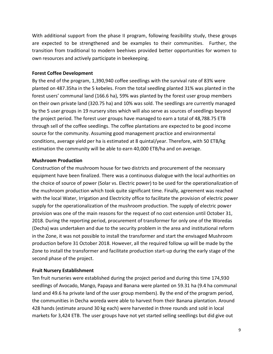With additional support from the phase II program, following feasibility study, these groups are expected to be strengthened and be examples to their communities. Further, the transition from traditional to modern beehives provided better opportunities for women to own resources and actively participate in beekeeping.

#### **Forest Coffee Development**

By the end of the program, 1,390,940 coffee seedlings with the survival rate of 83% were planted on 487.35ha in the 5 kebeles. From the total seedling planted 31% was planted in the forest users' communal land (166.6 ha), 59% was planted by the forest user group members on their own private land (320.75 ha) and 10% was sold. The seedlings are currently managed by the 5 user groups in 19 nursery sites which will also serve as sources of seedlings beyond the project period. The forest user groups have managed to earn a total of 48,788.75 ETB through sell of the coffee seedlings. The coffee plantations are expected to be good income source for the community. Assuming good management practice and environmental conditions, average yield per ha is estimated at 8 quintal/year. Therefore, with 50 ETB/kg estimation the community will be able to earn 40,000 ETB/ha and on average.

#### **Mushroom Production**

Construction of the mushroom house for two districts and procurement of the necessary equipment have been finalized. There was a continuous dialogue with the local authorities on the choice of source of power (Solar vs. Electric power) to be used for the operationalization of the mushroom production which took quite significant time. Finally, agreement was reached with the local Water, Irrigation and Electricity office to facilitate the provision of electric power supply for the operationalization of the mushroom production. The supply of electric power provision was one of the main reasons for the request of no cost extension until October 31, 2018. During the reporting period, procurement of transformer for only one of the Woredas (Decha) was undertaken and due to the security problem in the area and institutional reform in the Zone, it was not possible to install the transformer and start the envisaged Mushroom production before 31 October 2018. However, all the required follow up will be made by the Zone to install the transformer and facilitate production start-up during the early stage of the second phase of the project.

#### **Fruit Nursery Establishment**

Ten fruit nurseries were established during the project period and during this time 174,930 seedlings of Avocado, Mango, Papaya and Banana were planted on 59.31 ha (9.4 ha communal land and 49.6 ha private land of the user group members). By the end of the program period, the communities in Decha woreda were able to harvest from their Banana plantation. Around 428 hands (estimate around 30 kg each) were harvested in three rounds and sold in local markets for 3,424 ETB. The user groups have not yet started selling seedlings but did give out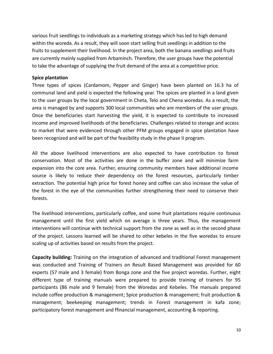various fruit seedlings to individuals as a marketing strategy which has led to high demand within the woreda. As a result, they will soon start selling fruit seedlings in addition to the fruits to supplement their livelihood. In the project area, both the banana seedlings and fruits are currently mainly supplied from Arbaminch. Therefore, the user groups have the potential to take the advantage of supplying the fruit demand of the area at a competitive price.

#### **Spice plantation**

Three types of spices (Cardamom, Pepper and Ginger) have been planted on 16.3 ha of communal land and yield is expected the following year. The spices are planted in a land given to the user groups by the local government in Cheta, Telo and Chena woredas. As a result, the area is managed by and supports 300 local communities who are members of the user groups. Once the beneficiaries start harvesting the yield, it is expected to contribute to increased income and improved livelihoods of the beneficiaries. Challenges related to storage and access to market that were evidenced through other PFM groups engaged in spice plantation have been recognized and will be part of the feasibility study in the phase II program.

All the above livelihood interventions are also expected to have contribution to forest conservation. Most of the activities are done in the buffer zone and will minimize farm expansion into the core area. Further, ensuring community members have additional income source is likely to reduce their dependency on the forest resources, particularly timber extraction. The potential high price for forest honey and coffee can also increase the value of the forest in the eye of the communities further strengthening their need to conserve their forests.

The livelihood interventions, particularly coffee, and some fruit plantations require continuous management until the first yield which on average is three years. Thus, the management interventions will continue with technical support from the zone as well as in the second phase of the project. Lessons learned will be shared to other kebeles in the five woredas to ensure scaling up of activities based on results from the project.

**Capacity building:** Training on the integration of advanced and traditional Forest management was conducted and Training of Trainers on Result Based Management was provided for 60 experts (57 male and 3 female) from Bonga zone and the five project woredas. Further, eight different type of training manuals were prepared to provide training of trainers for 95 participants (86 male and 9 female) from the Woredas and Kebeles. The manuals prepared include coffee production & management; Spice production & management; fruit production & management; beekeeping management; trends in Forest management in kafa zone; participatory forest management and ffinancial management, accounting & reporting.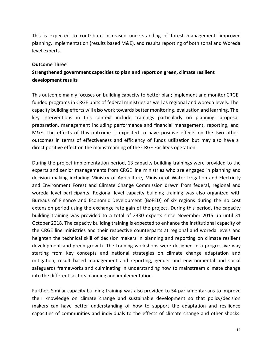This is expected to contribute increased understanding of forest management, improved planning, implementation (results based M&E), and results reporting of both zonal and Woreda level experts.

#### <span id="page-10-0"></span>**Outcome Three**

# **Strengthened government capacities to plan and report on green, climate resilient development results**

This outcome mainly focuses on building capacity to better plan; implement and monitor CRGE funded programs in CRGE units of federal ministries as well as regional and woreda levels. The capacity building efforts will also work towards better monitoring, evaluation and learning. The key interventions in this context include trainings particularly on planning, proposal preparation, management including performance and financial management, reporting, and M&E. The effects of this outcome is expected to have positive effects on the two other outcomes in terms of effectiveness and efficiency of funds utilization but may also have a direct positive effect on the mainstreaming of the CRGE Facility's operation.

During the project implementation period, 13 capacity building trainings were provided to the experts and senior managements from CRGE line ministries who are engaged in planning and decision making including Ministry of Agriculture, Ministry of Water Irrigation and Electricity and Environment Forest and Climate Change Commission drawn from federal, regional and woreda level participants. Regional level capacity building training was also organized with Bureaus of Finance and Economic Development (BoFED) of six regions during the no cost extension period using the exchange rate gain of the project. During this period, the capacity building training was provided to a total of 2330 experts since November 2015 up until 31 October 2018. The capacity building training is expected to enhance the institutional capacity of the CRGE line ministries and their respective counterparts at regional and woreda levels and heighten the technical skill of decision makers in planning and reporting on climate resilient development and green growth. The training workshops were designed in a progressive way starting from key concepts and national strategies on climate change adaptation and mitigation, result based management and reporting, gender and environmental and social safeguards frameworks and culminating in understanding how to mainstream climate change into the different sectors planning and implementation.

Further, Similar capacity building training was also provided to 54 parliamentarians to improve their knowledge on climate change and sustainable development so that policy/decision makers can have better understanding of how to support the adaptation and resilience capacities of communities and individuals to the effects of climate change and other shocks.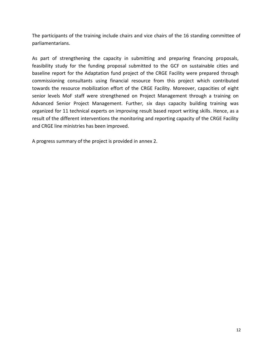The participants of the training include chairs and vice chairs of the 16 standing committee of parliamentarians.

As part of strengthening the capacity in submitting and preparing financing proposals, feasibility study for the funding proposal submitted to the GCF on sustainable cities and baseline report for the Adaptation fund project of the CRGE Facility were prepared through commissioning consultants using financial resource from this project which contributed towards the resource mobilization effort of the CRGE Facility. Moreover, capacities of eight senior levels MoF staff were strengthened on Project Management through a training on Advanced Senior Project Management. Further, six days capacity building training was organized for 11 technical experts on improving result based report writing skills. Hence, as a result of the different interventions the monitoring and reporting capacity of the CRGE Facility and CRGE line ministries has been improved.

A progress summary of the project is provided in annex 2.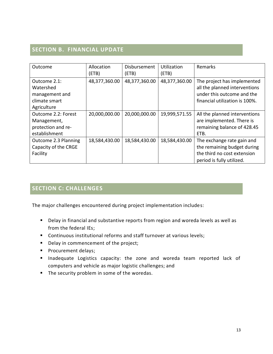# <span id="page-12-0"></span>**SECTION B. FINANCIAL UPDATE**

| Outcome                                                                     | Allocation<br>(ETB) | Disbursement<br>(ETB) | <b>Utilization</b><br>(ETB) | Remarks                                                                                                                      |
|-----------------------------------------------------------------------------|---------------------|-----------------------|-----------------------------|------------------------------------------------------------------------------------------------------------------------------|
| Outcome 2.1:<br>Watershed<br>management and<br>climate smart<br>Agriculture | 48,377,360.00       | 48,377,360.00         | 48,377,360.00               | The project has implemented<br>all the planned interventions<br>under this outcome and the<br>financial utilization is 100%. |
| Outcome 2.2: Forest<br>Management,<br>protection and re-<br>establishment   | 20,000,000.00       | 20,000,000.00         | 19,999,571.55               | All the planned interventions<br>are implemented. There is<br>remaining balance of 428.45<br>ETB.                            |
| Outcome 2.3 Planning<br>Capacity of the CRGE<br>Facility                    | 18,584,430.00       | 18,584,430.00         | 18,584,430.00               | The exchange rate gain and<br>the remaining budget during<br>the third no cost extension<br>period is fully utilized.        |

# <span id="page-12-1"></span>**SECTION C: CHALLENGES**

The major challenges encountered during project implementation includes:

- Delay in financial and substantive reports from region and woreda levels as well as from the federal IEs;
- Continuous institutional reforms and staff turnover at various levels;
- Delay in commencement of the project;
- Procurement delays;
- Inadequate Logistics capacity: the zone and woreda team reported lack of computers and vehicle as major logistic challenges; and
- The security problem in some of the woredas.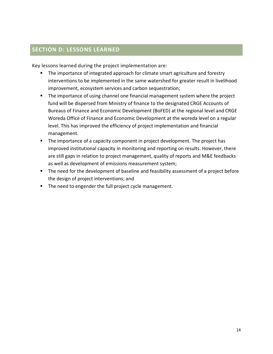# <span id="page-13-0"></span>**SECTION D: LESSONS LEARNED**

Key lessons learned during the project implementation are:

- The importance of integrated approach for climate smart agriculture and forestry interventions to be implemented in the same watershed for greater result in livelihood improvement, ecosystem services and carbon sequestration;
- The importance of using channel one financial management system where the project fund will be dispersed from Ministry of finance to the designated CRGE Accounts of Bureaus of Finance and Economic Development (BoFED) at the regional level and CRGE Woreda Office of Finance and Economic Development at the woreda level on a regular level. This has improved the efficiency of project implementation and financial management.
- The importance of a capacity component in project development. The project has improved institutional capacity in monitoring and reporting on results. However, there are still gaps in relation to project management, quality of reports and M&E feedbacks as well as development of emissions measurement system;
- The need for the development of baseline and feasibility assessment of a project before the design of project interventions; and
- The need to engender the full project cycle management.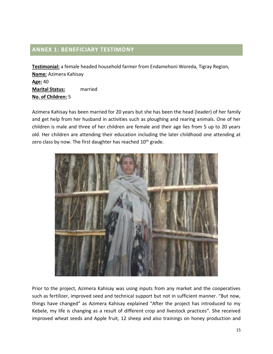# <span id="page-14-0"></span>**ANNEX 1: BENEFICIARY TESTIMONY**

**Testimonial:** a female headed household farmer from Endamehoni Woreda, Tigray Region, **Name:** Azimera Kahisay **Age:** 40 **Marital Status:** married **No. of Children:** 5

Azimera Kahisay has been married for 20 years but she has been the head (leader) of her family and get help from her husband in activities such as ploughing and rearing animals. One of her children is male and three of her children are female and their age lies from 5 up to 20 years old. Her children are attending their education including the later childhood one attending at zero class by now. The first daughter has reached  $10<sup>th</sup>$  grade.



Prior to the project, Azimera Kahisay was using inputs from any market and the cooperatives such as fertilizer, improved seed and technical support but not in sufficient manner. "But now, things have changed" as Azimera Kahisay explained "After the project has introduced to my Kebele, my life is changing as a result of different crop and livestock practices". She received improved wheat seeds and Apple fruit, 12 sheep and also trainings on honey production and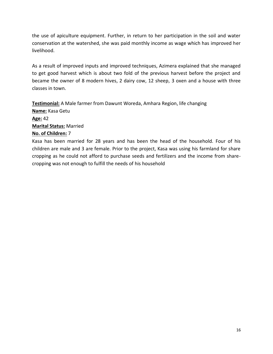the use of apiculture equipment. Further, in return to her participation in the soil and water conservation at the watershed, she was paid monthly income as wage which has improved her livelihood.

As a result of improved inputs and improved techniques, Azimera explained that she managed to get good harvest which is about two fold of the previous harvest before the project and became the owner of 8 modern hives, 2 dairy cow, 12 sheep, 3 oxen and a house with three classes in town.

**Testimonial:** A Male farmer from Dawunt Woreda, Amhara Region, life changing **Name:** Kasa Getu **Age:** 42 **Marital Status:** Married **No. of Children:** 7

Kasa has been married for 28 years and has been the head of the household. Four of his children are male and 3 are female. Prior to the project, Kasa was using his farmland for share cropping as he could not afford to purchase seeds and fertilizers and the income from sharecropping was not enough to fulfill the needs of his household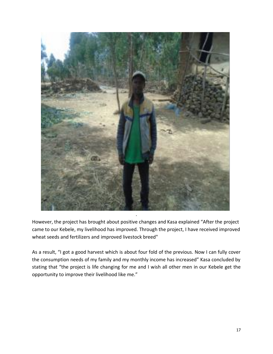

However, the project has brought about positive changes and Kasa explained "After the project came to our Kebele, my livelihood has improved. Through the project, I have received improved wheat seeds and fertilizers and improved livestock breed"

As a result, "I got a good harvest which is about four fold of the previous. Now I can fully cover the consumption needs of my family and my monthly income has increased" Kasa concluded by stating that "the project is life changing for me and I wish all other men in our Kebele get the opportunity to improve their livelihood like me."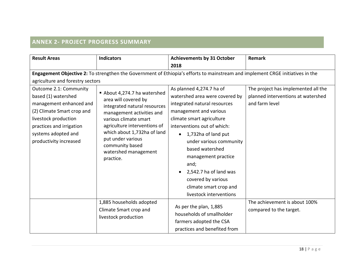# **ANNEX 2- PROJECT PROGRESS SUMMARY**

<span id="page-17-0"></span>

| <b>Result Areas</b>              | <b>Indicators</b>                                | <b>Achievements by 31 October</b>                                                                                              | <b>Remark</b>                       |
|----------------------------------|--------------------------------------------------|--------------------------------------------------------------------------------------------------------------------------------|-------------------------------------|
|                                  |                                                  | 2018                                                                                                                           |                                     |
|                                  |                                                  | Engagement Objective 2: To strengthen the Government of Ethiopia's efforts to mainstream and implement CRGE initiatives in the |                                     |
| agriculture and forestry sectors |                                                  |                                                                                                                                |                                     |
| Outcome 2.1: Community           | About 4,274.7 ha watershed                       | As planned 4,274.7 ha of                                                                                                       | The project has implemented all the |
| based (1) watershed              | area will covered by                             | watershed area were covered by                                                                                                 | planned interventions at watershed  |
| management enhanced and          | integrated natural resources                     | integrated natural resources                                                                                                   | and farm level                      |
| (2) Climate Smart crop and       | management activities and                        | management and various                                                                                                         |                                     |
| livestock production             | various climate smart                            | climate smart agriculture                                                                                                      |                                     |
| practices and irrigation         | agriculture interventions of                     | interventions out of which:                                                                                                    |                                     |
| systems adopted and              | which about 1,732ha of land<br>put under various | 1,732ha of land put<br>$\bullet$                                                                                               |                                     |
| productivity increased           |                                                  | under various community                                                                                                        |                                     |
|                                  | community based<br>watershed management          | based watershed                                                                                                                |                                     |
|                                  | practice.                                        | management practice                                                                                                            |                                     |
|                                  |                                                  | and;                                                                                                                           |                                     |
|                                  |                                                  | 2,542.7 ha of land was                                                                                                         |                                     |
|                                  |                                                  | covered by various                                                                                                             |                                     |
|                                  |                                                  | climate smart crop and                                                                                                         |                                     |
|                                  |                                                  | livestock interventions                                                                                                        |                                     |
|                                  | 1,885 households adopted                         |                                                                                                                                | The achievement is about 100%       |
|                                  | Climate Smart crop and                           | As per the plan, 1,885                                                                                                         | compared to the target.             |
|                                  | livestock production                             | households of smallholder                                                                                                      |                                     |
|                                  |                                                  | farmers adopted the CSA                                                                                                        |                                     |
|                                  |                                                  | practices and benefited from                                                                                                   |                                     |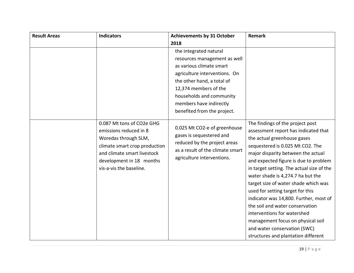| <b>Result Areas</b> | <b>Indicators</b>                                                                                                                                                                                  | <b>Achievements by 31 October</b>                                                                                                                          | <b>Remark</b>                                                                                                                                                                                                                                                                                                                                                                                                                                                                                                                                                                                                    |
|---------------------|----------------------------------------------------------------------------------------------------------------------------------------------------------------------------------------------------|------------------------------------------------------------------------------------------------------------------------------------------------------------|------------------------------------------------------------------------------------------------------------------------------------------------------------------------------------------------------------------------------------------------------------------------------------------------------------------------------------------------------------------------------------------------------------------------------------------------------------------------------------------------------------------------------------------------------------------------------------------------------------------|
|                     |                                                                                                                                                                                                    | 2018                                                                                                                                                       |                                                                                                                                                                                                                                                                                                                                                                                                                                                                                                                                                                                                                  |
|                     |                                                                                                                                                                                                    | the integrated natural                                                                                                                                     |                                                                                                                                                                                                                                                                                                                                                                                                                                                                                                                                                                                                                  |
|                     |                                                                                                                                                                                                    | resources management as well                                                                                                                               |                                                                                                                                                                                                                                                                                                                                                                                                                                                                                                                                                                                                                  |
|                     |                                                                                                                                                                                                    | as various climate smart                                                                                                                                   |                                                                                                                                                                                                                                                                                                                                                                                                                                                                                                                                                                                                                  |
|                     |                                                                                                                                                                                                    | agriculture interventions. On                                                                                                                              |                                                                                                                                                                                                                                                                                                                                                                                                                                                                                                                                                                                                                  |
|                     |                                                                                                                                                                                                    | the other hand, a total of                                                                                                                                 |                                                                                                                                                                                                                                                                                                                                                                                                                                                                                                                                                                                                                  |
|                     |                                                                                                                                                                                                    | 12,374 members of the                                                                                                                                      |                                                                                                                                                                                                                                                                                                                                                                                                                                                                                                                                                                                                                  |
|                     |                                                                                                                                                                                                    | households and community                                                                                                                                   |                                                                                                                                                                                                                                                                                                                                                                                                                                                                                                                                                                                                                  |
|                     |                                                                                                                                                                                                    | members have indirectly                                                                                                                                    |                                                                                                                                                                                                                                                                                                                                                                                                                                                                                                                                                                                                                  |
|                     |                                                                                                                                                                                                    | benefited from the project.                                                                                                                                |                                                                                                                                                                                                                                                                                                                                                                                                                                                                                                                                                                                                                  |
|                     | 0.087 Mt tons of CO2e GHG<br>emissions reduced in 8<br>Woredas through SLM,<br>climate smart crop production<br>and climate smart livestock<br>development in 18 months<br>vis-a-vis the baseline. | 0.025 Mt CO2-e of greenhouse<br>gases is sequestered and<br>reduced by the project areas<br>as a result of the climate smart<br>agriculture interventions. | The findings of the project post<br>assessment report has indicated that<br>the actual greenhouse gases<br>sequestered is 0.025 Mt CO2. The<br>major disparity between the actual<br>and expected figure is due to problem<br>in target setting. The actual size of the<br>water shade is 4,274.7 ha but the<br>target size of water shade which was<br>used for setting target for this<br>indicator was 14,800. Further, most of<br>the soil and water conservation<br>interventions for watershed<br>management focus on physical soil<br>and water conservation (SWC)<br>structures and plantation different |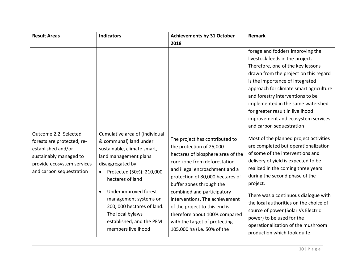| <b>Result Areas</b>                                                                                                                                           | <b>Indicators</b>                                                                                                                                                                                                                                                                                                                           | <b>Achievements by 31 October</b>                                                                                                                                                                                                                                                                                                                                                                                                   | <b>Remark</b>                                                                                                                                                                                                                                                                                                                                                                                                                                                           |
|---------------------------------------------------------------------------------------------------------------------------------------------------------------|---------------------------------------------------------------------------------------------------------------------------------------------------------------------------------------------------------------------------------------------------------------------------------------------------------------------------------------------|-------------------------------------------------------------------------------------------------------------------------------------------------------------------------------------------------------------------------------------------------------------------------------------------------------------------------------------------------------------------------------------------------------------------------------------|-------------------------------------------------------------------------------------------------------------------------------------------------------------------------------------------------------------------------------------------------------------------------------------------------------------------------------------------------------------------------------------------------------------------------------------------------------------------------|
|                                                                                                                                                               |                                                                                                                                                                                                                                                                                                                                             | 2018                                                                                                                                                                                                                                                                                                                                                                                                                                |                                                                                                                                                                                                                                                                                                                                                                                                                                                                         |
|                                                                                                                                                               |                                                                                                                                                                                                                                                                                                                                             |                                                                                                                                                                                                                                                                                                                                                                                                                                     | forage and fodders improving the<br>livestock feeds in the project.<br>Therefore, one of the key lessons<br>drawn from the project on this regard<br>is the importance of integrated<br>approach for climate smart agriculture<br>and forestry interventions to be<br>implemented in the same watershed<br>for greater result in livelihood<br>improvement and ecosystem services<br>and carbon sequestration                                                           |
| Outcome 2.2: Selected<br>forests are protected, re-<br>established and/or<br>sustainably managed to<br>provide ecosystem services<br>and carbon sequestration | Cumulative area of (individual<br>& communal) land under<br>sustainable, climate smart,<br>land management plans<br>disaggregated by:<br>Protected (50%); 210,000<br>hectares of land<br>Under improved forest<br>management systems on<br>200, 000 hectares of land.<br>The local bylaws<br>established, and the PFM<br>members livelihood | The project has contributed to<br>the protection of 25,000<br>hectares of biosphere area of the<br>core zone from deforestation<br>and illegal encroachment and a<br>protection of 80,000 hectares of<br>buffer zones through the<br>combined and participatory<br>interventions. The achievement<br>of the project to this end is<br>therefore about 100% compared<br>with the target of protecting<br>105,000 ha (i.e. 50% of the | Most of the planned project activities<br>are completed but operationalization<br>of some of the interventions and<br>delivery of yield is expected to be<br>realized in the coming three years<br>during the second phase of the<br>project.<br>There was a continuous dialogue with<br>the local authorities on the choice of<br>source of power (Solar Vs Electric<br>power) to be used for the<br>operationalization of the mushroom<br>production which took quite |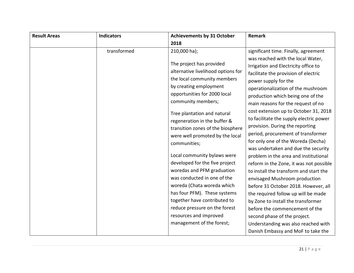| transformed | 2018<br>210,000 ha);<br>The project has provided<br>alternative livelihood options for<br>the local community members<br>by creating employment<br>opportunities for 2000 local<br>community members;                                                                                                                                                                                                            | significant time. Finally, agreement<br>was reached with the local Water,<br>Irrigation and Electricity office to<br>facilitate the provision of electric<br>power supply for the<br>operationalization of the mushroom<br>production which being one of the                                                                                                                                                                                                                                                                                                                                       |
|-------------|------------------------------------------------------------------------------------------------------------------------------------------------------------------------------------------------------------------------------------------------------------------------------------------------------------------------------------------------------------------------------------------------------------------|----------------------------------------------------------------------------------------------------------------------------------------------------------------------------------------------------------------------------------------------------------------------------------------------------------------------------------------------------------------------------------------------------------------------------------------------------------------------------------------------------------------------------------------------------------------------------------------------------|
|             |                                                                                                                                                                                                                                                                                                                                                                                                                  |                                                                                                                                                                                                                                                                                                                                                                                                                                                                                                                                                                                                    |
|             | Tree plantation and natural<br>regeneration in the buffer &<br>transition zones of the biosphere<br>were well promoted by the local<br>communities;<br>Local community bylaws were<br>developed for the five project<br>woredas and PFM graduation<br>was conducted in one of the<br>woreda (Chata woreda which<br>has four PFM). These systems<br>together have contributed to<br>reduce pressure on the forest | main reasons for the request of no<br>cost extension up to October 31, 2018<br>to facilitate the supply electric power<br>provision. During the reporting<br>period, procurement of transformer<br>for only one of the Woreda (Decha)<br>was undertaken and due the security<br>problem in the area and institutional<br>reform in the Zone, it was not possible<br>to install the transform and start the<br>envisaged Mushroom production<br>before 31 October 2018. However, all<br>the required follow up will be made<br>by Zone to install the transformer<br>before the commencement of the |
|             | resources and improved<br>management of the forest;                                                                                                                                                                                                                                                                                                                                                              | second phase of the project.<br>Understanding was also reached with<br>Danish Embassy and MoF to take the                                                                                                                                                                                                                                                                                                                                                                                                                                                                                          |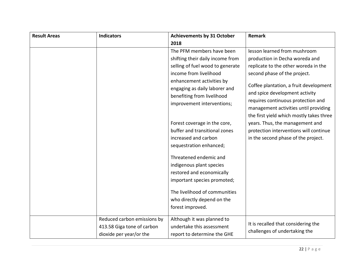| <b>Result Areas</b> | <b>Indicators</b>                                                                    | <b>Achievements by 31 October</b>                                                                                                                                                                                                                     | <b>Remark</b>                                                                                                                                                                                                                                                                                                                                 |
|---------------------|--------------------------------------------------------------------------------------|-------------------------------------------------------------------------------------------------------------------------------------------------------------------------------------------------------------------------------------------------------|-----------------------------------------------------------------------------------------------------------------------------------------------------------------------------------------------------------------------------------------------------------------------------------------------------------------------------------------------|
|                     |                                                                                      | 2018                                                                                                                                                                                                                                                  |                                                                                                                                                                                                                                                                                                                                               |
|                     |                                                                                      | The PFM members have been<br>shifting their daily income from<br>selling of fuel wood to generate<br>income from livelihood<br>enhancement activities by<br>engaging as daily laborer and<br>benefiting from livelihood<br>improvement interventions; | lesson learned from mushroom<br>production in Decha woreda and<br>replicate to the other woreda in the<br>second phase of the project.<br>Coffee plantation, a fruit development<br>and spice development activity<br>requires continuous protection and<br>management activities until providing<br>the first yield which mostly takes three |
|                     |                                                                                      | Forest coverage in the core,<br>buffer and transitional zones<br>increased and carbon<br>sequestration enhanced;<br>Threatened endemic and<br>indigenous plant species                                                                                | years. Thus, the management and<br>protection interventions will continue<br>in the second phase of the project.                                                                                                                                                                                                                              |
|                     |                                                                                      | restored and economically<br>important species promoted;<br>The livelihood of communities<br>who directly depend on the<br>forest improved.                                                                                                           |                                                                                                                                                                                                                                                                                                                                               |
|                     | Reduced carbon emissions by<br>413.58 Giga tone of carbon<br>dioxide per year/or the | Although it was planned to<br>undertake this assessment<br>report to determine the GHE                                                                                                                                                                | It is recalled that considering the<br>challenges of undertaking the                                                                                                                                                                                                                                                                          |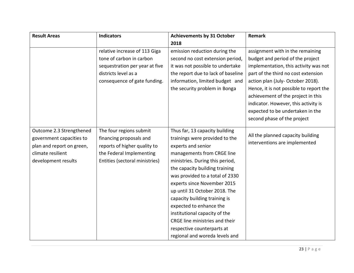| <b>Result Areas</b>       | <b>Indicators</b>              | <b>Achievements by 31 October</b>  | Remark                                  |
|---------------------------|--------------------------------|------------------------------------|-----------------------------------------|
|                           |                                | 2018                               |                                         |
|                           | relative increase of 113 Giga  | emission reduction during the      | assignment with in the remaining        |
|                           | tone of carbon in carbon       | second no cost extension period,   | budget and period of the project        |
|                           | sequestration per year at five | it was not possible to undertake   | implementation, this activity was not   |
|                           | districts level as a           | the report due to lack of baseline | part of the third no cost extension     |
|                           | consequence of gate funding.   | information, limited budget and    | action plan (July-October 2018).        |
|                           |                                | the security problem in Bonga      | Hence, it is not possible to report the |
|                           |                                |                                    | achievement of the project in this      |
|                           |                                |                                    | indicator. However, this activity is    |
|                           |                                |                                    | expected to be undertaken in the        |
|                           |                                |                                    | second phase of the project             |
| Outcome 2.3 Strengthened  | The four regions submit        | Thus far, 13 capacity building     |                                         |
| government capacities to  | financing proposals and        | trainings were provided to the     | All the planned capacity building       |
| plan and report on green, | reports of higher quality to   | experts and senior                 | interventions are implemented           |
| climate resilient         | the Federal Implementing       | managements from CRGE line         |                                         |
| development results       | Entities (sectoral ministries) | ministries. During this period,    |                                         |
|                           |                                | the capacity building training     |                                         |
|                           |                                | was provided to a total of 2330    |                                         |
|                           |                                | experts since November 2015        |                                         |
|                           |                                | up until 31 October 2018. The      |                                         |
|                           |                                | capacity building training is      |                                         |
|                           |                                | expected to enhance the            |                                         |
|                           |                                | institutional capacity of the      |                                         |
|                           |                                | CRGE line ministries and their     |                                         |
|                           |                                | respective counterparts at         |                                         |
|                           |                                | regional and woreda levels and     |                                         |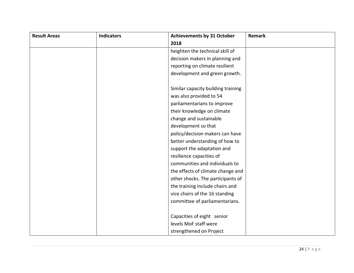| <b>Result Areas</b> | <b>Indicators</b> | <b>Achievements by 31 October</b>  | Remark |
|---------------------|-------------------|------------------------------------|--------|
|                     |                   | 2018                               |        |
|                     |                   | heighten the technical skill of    |        |
|                     |                   | decision makers in planning and    |        |
|                     |                   | reporting on climate resilient     |        |
|                     |                   | development and green growth.      |        |
|                     |                   | Similar capacity building training |        |
|                     |                   | was also provided to 54            |        |
|                     |                   | parliamentarians to improve        |        |
|                     |                   | their knowledge on climate         |        |
|                     |                   | change and sustainable             |        |
|                     |                   | development so that                |        |
|                     |                   | policy/decision makers can have    |        |
|                     |                   | better understanding of how to     |        |
|                     |                   | support the adaptation and         |        |
|                     |                   | resilience capacities of           |        |
|                     |                   | communities and individuals to     |        |
|                     |                   | the effects of climate change and  |        |
|                     |                   | other shocks. The participants of  |        |
|                     |                   | the training include chairs and    |        |
|                     |                   | vice chairs of the 16 standing     |        |
|                     |                   | committee of parliamentarians.     |        |
|                     |                   |                                    |        |
|                     |                   | Capacities of eight senior         |        |
|                     |                   | levels MoF staff were              |        |
|                     |                   | strengthened on Project            |        |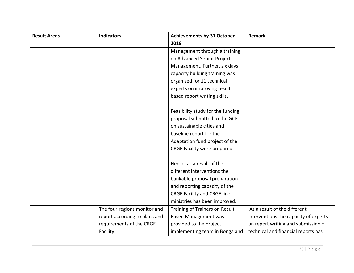| <b>Result Areas</b> | <b>Indicators</b>             | <b>Achievements by 31 October</b>  | Remark                                |
|---------------------|-------------------------------|------------------------------------|---------------------------------------|
|                     |                               | 2018                               |                                       |
|                     |                               | Management through a training      |                                       |
|                     |                               | on Advanced Senior Project         |                                       |
|                     |                               | Management. Further, six days      |                                       |
|                     |                               | capacity building training was     |                                       |
|                     |                               | organized for 11 technical         |                                       |
|                     |                               | experts on improving result        |                                       |
|                     |                               | based report writing skills.       |                                       |
|                     |                               | Feasibility study for the funding  |                                       |
|                     |                               | proposal submitted to the GCF      |                                       |
|                     |                               | on sustainable cities and          |                                       |
|                     |                               | baseline report for the            |                                       |
|                     |                               | Adaptation fund project of the     |                                       |
|                     |                               | CRGE Facility were prepared.       |                                       |
|                     |                               | Hence, as a result of the          |                                       |
|                     |                               | different interventions the        |                                       |
|                     |                               | bankable proposal preparation      |                                       |
|                     |                               | and reporting capacity of the      |                                       |
|                     |                               | <b>CRGE Facility and CRGE line</b> |                                       |
|                     |                               | ministries has been improved.      |                                       |
|                     | The four regions monitor and  | Training of Trainers on Result     | As a result of the different          |
|                     | report according to plans and | <b>Based Management was</b>        | interventions the capacity of experts |
|                     | requirements of the CRGE      | provided to the project            | on report writing and submission of   |
|                     | Facility                      | implementing team in Bonga and     | technical and financial reports has   |